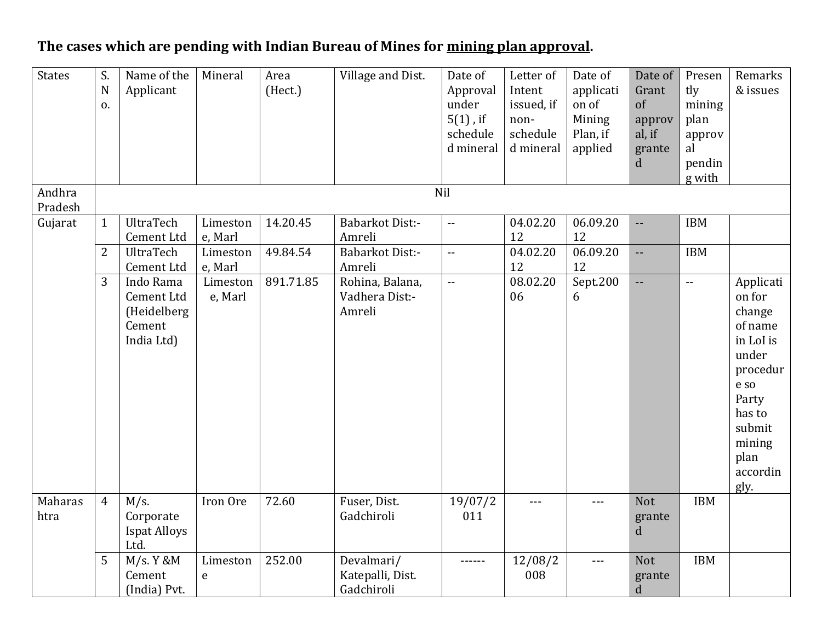## **The cases which are pending with Indian Bureau of Mines for mining plan approval.**

| <b>States</b>     | S.<br>$\mathbf N$<br>0. | Name of the<br>Applicant                                       | Mineral             | Area<br>(Hect.) | Village and Dist.                            | Date of<br>Approval<br>under<br>$5(1)$ , if<br>schedule<br>d mineral | Letter of<br>Intent<br>issued, if<br>non-<br>schedule<br>d mineral | Date of<br>applicati<br>on of<br>Mining<br>Plan, if<br>applied | Date of<br>Grant<br>of<br>approv<br>al, if<br>grante<br>$\mathbf d$ | Presen<br>tly<br>mining<br>plan<br>approv<br>al<br>pendin<br>g with | Remarks<br>& issues                                                                                                                                   |
|-------------------|-------------------------|----------------------------------------------------------------|---------------------|-----------------|----------------------------------------------|----------------------------------------------------------------------|--------------------------------------------------------------------|----------------------------------------------------------------|---------------------------------------------------------------------|---------------------------------------------------------------------|-------------------------------------------------------------------------------------------------------------------------------------------------------|
| Andhra<br>Pradesh |                         |                                                                |                     |                 |                                              | Nil                                                                  |                                                                    |                                                                |                                                                     |                                                                     |                                                                                                                                                       |
| Gujarat           | $\mathbf{1}$            | UltraTech<br>Cement Ltd                                        | Limeston<br>e, Marl | 14.20.45        | <b>Babarkot Dist:-</b><br>Amreli             | $\sim$ $\sim$                                                        | 04.02.20<br>12                                                     | 06.09.20<br>12                                                 | --                                                                  | <b>IBM</b>                                                          |                                                                                                                                                       |
|                   | $\overline{2}$          | UltraTech<br>Cement Ltd                                        | Limeston<br>e, Marl | 49.84.54        | <b>Babarkot Dist:-</b><br>Amreli             | $\mathbb{L} \mathbb{L}$                                              | 04.02.20<br>12                                                     | 06.09.20<br>12                                                 | --                                                                  | <b>IBM</b>                                                          |                                                                                                                                                       |
|                   | 3                       | Indo Rama<br>Cement Ltd<br>(Heidelberg<br>Cement<br>India Ltd) | Limeston<br>e, Marl | 891.71.85       | Rohina, Balana,<br>Vadhera Dist:-<br>Amreli  | $\mathbb{L} \mathbb{L}$                                              | 08.02.20<br>06                                                     | Sept.200<br>6                                                  | $\overline{\phantom{a}}$                                            | $\sim$ $\sim$                                                       | Applicati<br>on for<br>change<br>of name<br>in LoI is<br>under<br>procedur<br>e so<br>Party<br>has to<br>submit<br>mining<br>plan<br>accordin<br>gly. |
| Maharas<br>htra   | $\overline{4}$          | $M/s$ .<br>Corporate<br><b>Ispat Alloys</b><br>Ltd.            | Iron Ore            | 72.60           | Fuser, Dist.<br>Gadchiroli                   | 19/07/2<br>011                                                       | $---$                                                              | $--$                                                           | <b>Not</b><br>grante<br>d                                           | <b>IBM</b>                                                          |                                                                                                                                                       |
|                   | 5                       | M/s. Y & M<br>Cement<br>(India) Pvt.                           | Limeston<br>e       | 252.00          | Devalmari/<br>Katepalli, Dist.<br>Gadchiroli | ------                                                               | 12/08/2<br>008                                                     | $- - -$                                                        | <b>Not</b><br>grante<br>$\mathbf d$                                 | <b>IBM</b>                                                          |                                                                                                                                                       |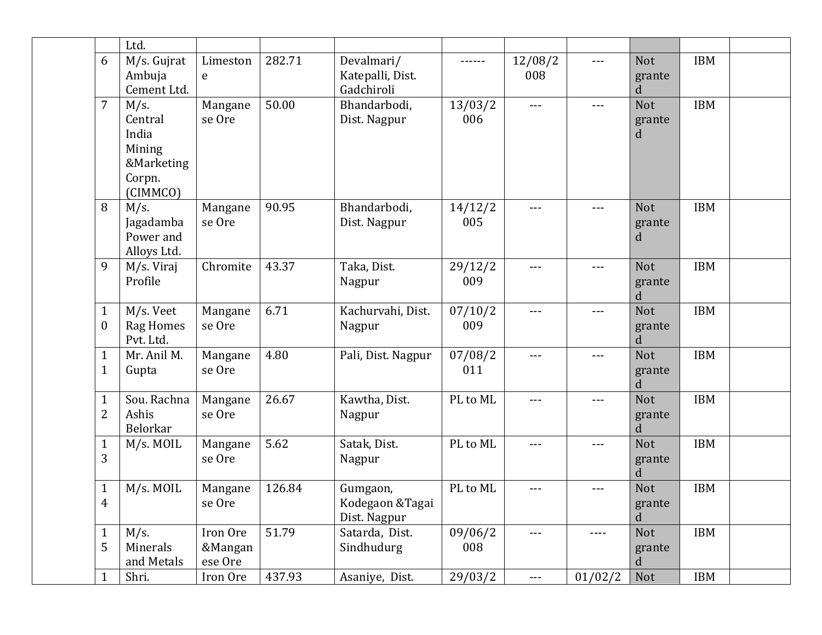|                                  | Ltd.                                                                      |                                |        |                                              |                |                     |         |                           |            |  |
|----------------------------------|---------------------------------------------------------------------------|--------------------------------|--------|----------------------------------------------|----------------|---------------------|---------|---------------------------|------------|--|
| 6                                | M/s. Gujrat<br>Ambuja<br>Cement Ltd.                                      | Limeston<br>e                  | 282.71 | Devalmari/<br>Katepalli, Dist.<br>Gadchiroli |                | 12/08/2<br>008      | ---     | <b>Not</b><br>grante<br>d | <b>IBM</b> |  |
| $\overline{7}$                   | $M/s$ .<br>Central<br>India<br>Mining<br>&Marketing<br>Corpn.<br>(CIMMCO) | Mangane<br>se Ore              | 50.00  | Bhandarbodi,<br>Dist. Nagpur                 | 13/03/2<br>006 | $---$               | $---$   | <b>Not</b><br>grante<br>d | <b>IBM</b> |  |
| 8                                | $M/s$ .<br>Jagadamba<br>Power and<br>Alloys Ltd.                          | Mangane<br>se Ore              | 90.95  | Bhandarbodi,<br>Dist. Nagpur                 | 14/12/2<br>005 | $---$               | ---     | <b>Not</b><br>grante<br>d | <b>IBM</b> |  |
| 9                                | M/s. Viraj<br>Profile                                                     | Chromite                       | 43.37  | Taka, Dist.<br>Nagpur                        | 29/12/2<br>009 | $---$               | ---     | <b>Not</b><br>grante<br>d | <b>IBM</b> |  |
| $\mathbf{1}$<br>$\boldsymbol{0}$ | M/s. Veet<br><b>Rag Homes</b><br>Pvt. Ltd.                                | Mangane<br>se Ore              | 6.71   | Kachurvahi, Dist.<br>Nagpur                  | 07/10/2<br>009 | $---$               | ---     | <b>Not</b><br>grante<br>d | <b>IBM</b> |  |
| $\mathbf{1}$<br>1                | Mr. Anil M.<br>Gupta                                                      | Mangane<br>se Ore              | 4.80   | Pali, Dist. Nagpur                           | 07/08/2<br>011 | $---$               | ---     | <b>Not</b><br>grante<br>d | <b>IBM</b> |  |
| 1<br>2                           | Sou. Rachna<br>Ashis<br><b>Belorkar</b>                                   | Mangane<br>se Ore              | 26.67  | Kawtha, Dist.<br>Nagpur                      | PL to ML       | $---$               | $---$   | <b>Not</b><br>grante<br>d | <b>IBM</b> |  |
| $\mathbf{1}$<br>3                | M/s. MOIL                                                                 | Mangane<br>se Ore              | 5.62   | Satak, Dist.<br>Nagpur                       | PL to ML       | $---$               | $---$   | <b>Not</b><br>grante<br>d | <b>IBM</b> |  |
| $\mathbf{1}$<br>4                | M/s. MOIL                                                                 | Mangane<br>se Ore              | 126.84 | Gumgaon,<br>Kodegaon & Tagai<br>Dist. Nagpur | PL to ML       | $\qquad \qquad - -$ | ---     | <b>Not</b><br>grante<br>d | <b>IBM</b> |  |
| $\mathbf{1}$<br>5                | $M/s$ .<br>Minerals<br>and Metals                                         | Iron Ore<br>&Mangan<br>ese Ore | 51.79  | Satarda, Dist.<br>Sindhudurg                 | 09/06/2<br>008 | $---$               | ----    | Not<br>grante<br>d        | <b>IBM</b> |  |
| 1                                | Shri.                                                                     | Iron Ore                       | 437.93 | Asaniye, Dist.                               | 29/03/2        | $---$               | 01/02/2 | Not                       | IBM        |  |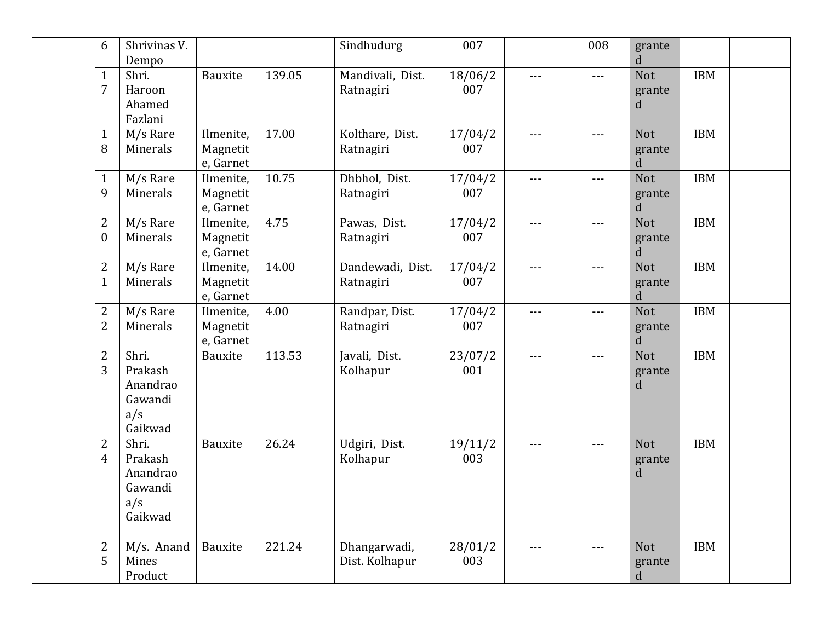| 6                                  | Shrivinas V.<br>Dempo                                     |                                    |        | Sindhudurg                     | 007            |               | 008   | grante<br>d               |            |  |
|------------------------------------|-----------------------------------------------------------|------------------------------------|--------|--------------------------------|----------------|---------------|-------|---------------------------|------------|--|
| $\mathbf{1}$<br>7                  | Shri.<br>Haroon<br>Ahamed<br>Fazlani                      | Bauxite                            | 139.05 | Mandivali, Dist.<br>Ratnagiri  | 18/06/2<br>007 | ---           | ---   | <b>Not</b><br>grante<br>d | <b>IBM</b> |  |
| $\mathbf{1}$<br>8                  | M/s Rare<br>Minerals                                      | Ilmenite,<br>Magnetit<br>e, Garnet | 17.00  | Kolthare, Dist.<br>Ratnagiri   | 17/04/2<br>007 | $---$         | $---$ | <b>Not</b><br>grante<br>d | <b>IBM</b> |  |
| $\mathbf{1}$<br>9                  | M/s Rare<br>Minerals                                      | Ilmenite,<br>Magnetit<br>e, Garnet | 10.75  | Dhbhol, Dist.<br>Ratnagiri     | 17/04/2<br>007 | $---$         | $---$ | <b>Not</b><br>grante<br>d | <b>IBM</b> |  |
| $\overline{2}$<br>$\boldsymbol{0}$ | M/s Rare<br>Minerals                                      | Ilmenite,<br>Magnetit<br>e, Garnet | 4.75   | Pawas, Dist.<br>Ratnagiri      | 17/04/2<br>007 | $---$         | $---$ | <b>Not</b><br>grante<br>d | <b>IBM</b> |  |
| $\overline{2}$<br>$\mathbf{1}$     | M/s Rare<br>Minerals                                      | Ilmenite,<br>Magnetit<br>e, Garnet | 14.00  | Dandewadi, Dist.<br>Ratnagiri  | 17/04/2<br>007 | $---$         | $---$ | <b>Not</b><br>grante<br>d | <b>IBM</b> |  |
| $\overline{2}$<br>$\overline{2}$   | M/s Rare<br>Minerals                                      | Ilmenite,<br>Magnetit<br>e, Garnet | 4.00   | Randpar, Dist.<br>Ratnagiri    | 17/04/2<br>007 | ---           | ---   | <b>Not</b><br>grante<br>d | <b>IBM</b> |  |
| $\overline{2}$<br>3                | Shri.<br>Prakash<br>Anandrao<br>Gawandi<br>a/s<br>Gaikwad | Bauxite                            | 113.53 | Javali, Dist.<br>Kolhapur      | 23/07/2<br>001 | $\frac{1}{2}$ | $---$ | <b>Not</b><br>grante<br>d | <b>IBM</b> |  |
| $\overline{2}$<br>$\overline{4}$   | Shri.<br>Prakash<br>Anandrao<br>Gawandi<br>a/s<br>Gaikwad | Bauxite                            | 26.24  | Udgiri, Dist.<br>Kolhapur      | 19/11/2<br>003 | $\frac{1}{2}$ | $---$ | <b>Not</b><br>grante<br>d | <b>IBM</b> |  |
| $\overline{2}$<br>5                | M/s. Anand<br>Mines<br>Product                            | Bauxite                            | 221.24 | Dhangarwadi,<br>Dist. Kolhapur | 28/01/2<br>003 | ---           | $---$ | <b>Not</b><br>grante<br>d | <b>IBM</b> |  |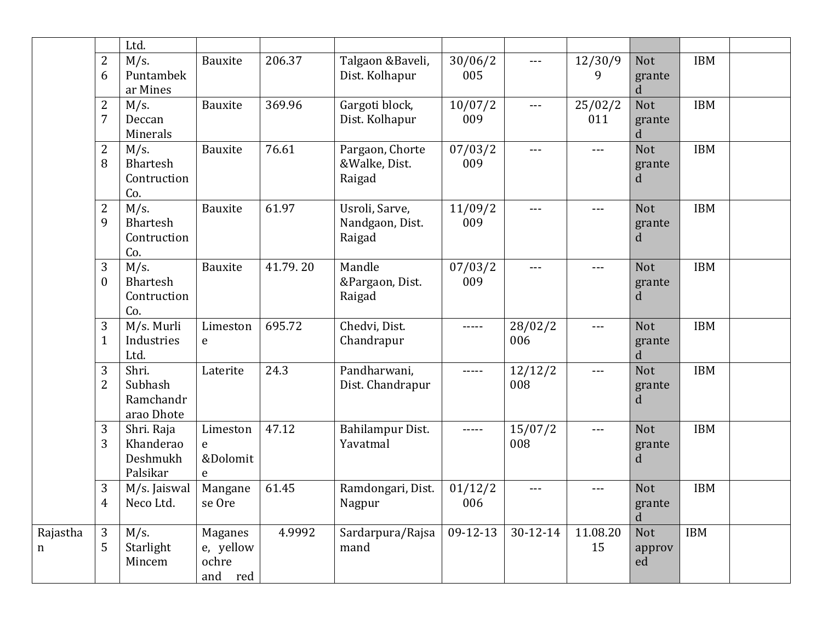|          |                  | Ltd.                                  |                  |          |                           |          |          |                     |             |            |  |
|----------|------------------|---------------------------------------|------------------|----------|---------------------------|----------|----------|---------------------|-------------|------------|--|
|          | $\overline{2}$   | $M/s$ .                               | Bauxite          | 206.37   | Talgaon &Baveli,          | 30/06/2  | $---$    | 12/30/9             | Not         | <b>IBM</b> |  |
|          | 6                | Puntambek<br>ar Mines                 |                  |          | Dist. Kolhapur            | 005      |          | 9                   | grante<br>d |            |  |
|          | $\overline{2}$   | $M/s$ .                               | Bauxite          | 369.96   | Gargoti block,            | 10/07/2  | $---$    | 25/02/2             | Not         | <b>IBM</b> |  |
|          | $\overline{7}$   | Deccan<br>Minerals                    |                  |          | Dist. Kolhapur            | 009      |          | 011                 | grante<br>d |            |  |
|          | $\overline{c}$   | $M/s$ .                               | Bauxite          | 76.61    | Pargaon, Chorte           | 07/03/2  | $- - -$  | $---$               | <b>Not</b>  | <b>IBM</b> |  |
|          | 8                | <b>Bhartesh</b><br>Contruction<br>Co. |                  |          | &Walke, Dist.<br>Raigad   | 009      |          |                     | grante<br>d |            |  |
|          | $\overline{2}$   | $M/s$ .                               | Bauxite          | 61.97    | Usroli, Sarve,            | 11/09/2  | $---$    | $\qquad \qquad - -$ | <b>Not</b>  | <b>IBM</b> |  |
|          | 9                | <b>Bhartesh</b><br>Contruction<br>Co. |                  |          | Nandgaon, Dist.<br>Raigad | 009      |          |                     | grante<br>d |            |  |
|          | 3                | $M/s$ .                               | Bauxite          | 41.79.20 | Mandle                    | 07/03/2  | $- - -$  | $---$               | <b>Not</b>  | <b>IBM</b> |  |
|          | $\boldsymbol{0}$ | <b>Bhartesh</b>                       |                  |          | &Pargaon, Dist.           | 009      |          |                     | grante      |            |  |
|          |                  | Contruction<br>Co.                    |                  |          | Raigad                    |          |          |                     | d           |            |  |
|          | 3                | M/s. Murli                            | Limeston         | 695.72   | Chedvi, Dist.             | -----    | 28/02/2  | $\frac{1}{2}$       | <b>Not</b>  | <b>IBM</b> |  |
|          | $\mathbf{1}$     | Industries<br>Ltd.                    | e                |          | Chandrapur                |          | 006      |                     | grante<br>d |            |  |
|          | 3                | Shri.                                 | Laterite         | 24.3     | Pandharwani,              | -----    | 12/12/2  | $---$               | <b>Not</b>  | <b>IBM</b> |  |
|          | $\overline{2}$   | Subhash<br>Ramchandr                  |                  |          | Dist. Chandrapur          |          | 008      |                     | grante<br>d |            |  |
|          |                  | arao Dhote                            |                  |          |                           |          |          |                     |             |            |  |
|          | 3                | Shri. Raja                            | Limeston         | 47.12    | Bahilampur Dist.          | -----    | 15/07/2  | $\frac{1}{2}$       | <b>Not</b>  | <b>IBM</b> |  |
|          | 3                | Khanderao<br>Deshmukh                 | e<br>&Dolomit    |          | Yavatmal                  |          | 008      |                     | grante<br>d |            |  |
|          |                  | Palsikar                              | e                |          |                           |          |          |                     |             |            |  |
|          | 3                | M/s. Jaiswal                          | Mangane          | 61.45    | Ramdongari, Dist.         | 01/12/2  | $---$    | $---$               | Not         | <b>IBM</b> |  |
|          | $\overline{4}$   | Neco Ltd.                             | se Ore           |          | Nagpur                    | 006      |          |                     | grante<br>d |            |  |
| Rajastha | 3                | $M/s$ .                               | Maganes          | 4.9992   | Sardarpura/Rajsa          | 09-12-13 | 30-12-14 | 11.08.20            | Not         | <b>IBM</b> |  |
| n        | 5                | Starlight                             | e, yellow        |          | mand                      |          |          | 15                  | approv      |            |  |
|          |                  | Mincem                                | ochre<br>and red |          |                           |          |          |                     | ed          |            |  |
|          |                  |                                       |                  |          |                           |          |          |                     |             |            |  |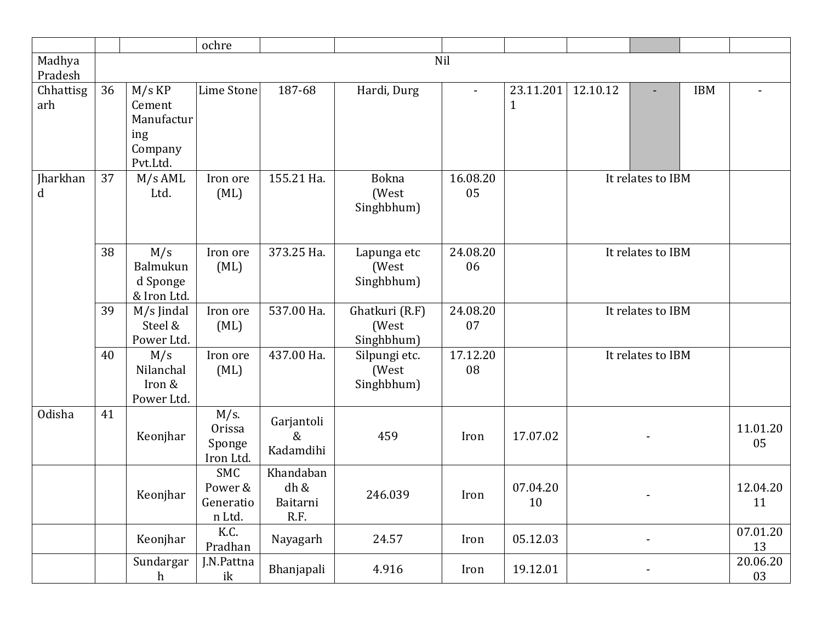|                   |    |                                                                | ochre                                        |                                       |                                       |                          |                           |          |                          |            |                |
|-------------------|----|----------------------------------------------------------------|----------------------------------------------|---------------------------------------|---------------------------------------|--------------------------|---------------------------|----------|--------------------------|------------|----------------|
| Madhya<br>Pradesh |    |                                                                |                                              |                                       |                                       | Nil                      |                           |          |                          |            |                |
| Chhattisg<br>arh  | 36 | $M/s$ KP<br>Cement<br>Manufactur<br>ing<br>Company<br>Pvt.Ltd. | Lime Stone                                   | 187-68                                | Hardi, Durg                           | $\overline{\phantom{0}}$ | 23.11.201<br>$\mathbf{1}$ | 12.10.12 | $\overline{\phantom{a}}$ | <b>IBM</b> |                |
| Jharkhan<br>d     | 37 | $M/s$ AML<br>Ltd.                                              | Iron ore<br>(ML)                             | 155.21 Ha.                            | <b>Bokna</b><br>(West<br>Singhbhum)   | 16.08.20<br>05           |                           |          | It relates to IBM        |            |                |
|                   | 38 | M/s<br>Balmukun<br>d Sponge<br>& Iron Ltd.                     | Iron ore<br>(ML)                             | 373.25 Ha.                            | Lapunga etc<br>(West<br>Singhbhum)    | 24.08.20<br>06           |                           |          | It relates to IBM        |            |                |
|                   | 39 | M/s Jindal<br>Steel &<br>Power Ltd.                            | Iron ore<br>(ML)                             | 537.00 Ha.                            | Ghatkuri (R.F)<br>(West<br>Singhbhum) | 24.08.20<br>07           |                           |          | It relates to IBM        |            |                |
|                   | 40 | M/s<br>Nilanchal<br>Iron &<br>Power Ltd.                       | Iron ore<br>(ML)                             | 437.00 Ha.                            | Silpungi etc.<br>(West<br>Singhbhum)  | 17.12.20<br>08           |                           |          | It relates to IBM        |            |                |
| Odisha            | 41 | Keonjhar                                                       | $M/s$ .<br>Orissa<br>Sponge<br>Iron Ltd.     | Garjantoli<br>$\&$<br>Kadamdihi       | 459                                   | Iron                     | 17.07.02                  |          |                          |            | 11.01.20<br>05 |
|                   |    | Keonjhar                                                       | <b>SMC</b><br>Power &<br>Generatio<br>n Ltd. | Khandaban<br>dh &<br>Baitarni<br>R.F. | 246.039                               | Iron                     | 07.04.20<br>10            |          |                          |            | 12.04.20<br>11 |
|                   |    | Keonjhar                                                       | K.C.<br>Pradhan                              | Nayagarh                              | 24.57                                 | Iron                     | 05.12.03                  |          |                          |            | 07.01.20<br>13 |
|                   |    | Sundargar<br>h                                                 | J.N.Pattna<br>ik                             | Bhanjapali                            | 4.916                                 | Iron                     | 19.12.01                  |          |                          |            | 20.06.20<br>03 |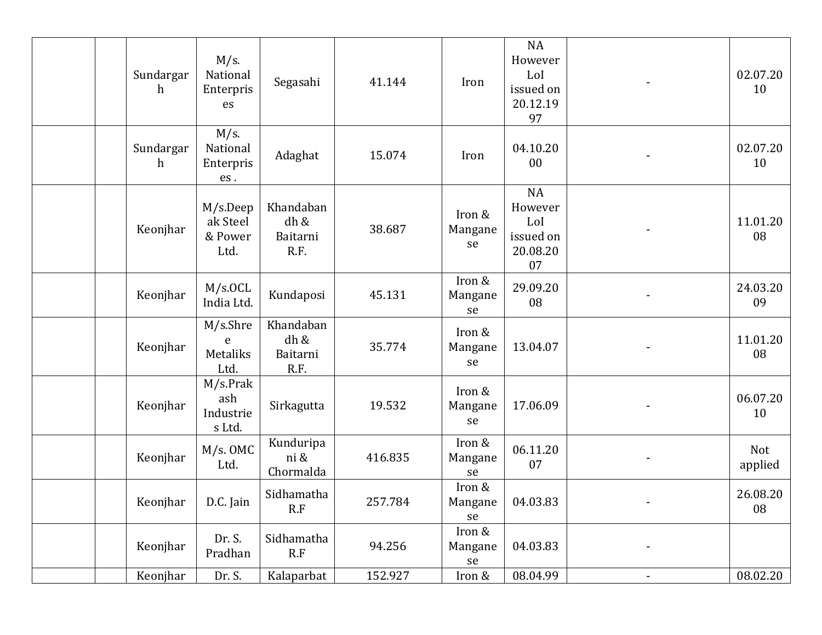| Sundargar<br>h | M/s.<br>National<br>Enterpris<br>es       | Segasahi                              | 41.144  | Iron                    | <b>NA</b><br>However<br>LoI<br>issued on<br>20.12.19       |                | 02.07.20<br>10 |
|----------------|-------------------------------------------|---------------------------------------|---------|-------------------------|------------------------------------------------------------|----------------|----------------|
| Sundargar<br>h | M/s.<br>National<br>Enterpris<br>es.      | Adaghat                               | 15.074  | Iron                    | 97<br>04.10.20<br>00                                       |                | 02.07.20<br>10 |
| Keonjhar       | M/s.Deep<br>ak Steel<br>& Power<br>Ltd.   | Khandaban<br>dh &<br>Baitarni<br>R.F. | 38.687  | Iron &<br>Mangane<br>se | <b>NA</b><br>However<br>LoI<br>issued on<br>20.08.20<br>07 |                | 11.01.20<br>08 |
| Keonjhar       | M/s. OCL<br>India Ltd.                    | Kundaposi                             | 45.131  | Iron &<br>Mangane<br>se | 29.09.20<br>08                                             |                | 24.03.20<br>09 |
| Keonjhar       | M/s.Shre<br>e<br>Metaliks<br>Ltd.         | Khandaban<br>dh &<br>Baitarni<br>R.F. | 35.774  | Iron &<br>Mangane<br>se | 13.04.07                                                   |                | 11.01.20<br>08 |
| Keonjhar       | $M/s$ .Prak<br>ash<br>Industrie<br>s Ltd. | Sirkagutta                            | 19.532  | Iron &<br>Mangane<br>se | 17.06.09                                                   |                | 06.07.20<br>10 |
| Keonjhar       | $M/s.$ OMC<br>Ltd.                        | Kunduripa<br>ni &<br>Chormalda        | 416.835 | Iron &<br>Mangane<br>se | 06.11.20<br>07                                             |                | Not<br>applied |
|                | Keonjhar   D.C. Jain                      | Sidhamatha<br>R.F                     | 257.784 | Iron &<br>Mangane<br>se | 04.03.83                                                   |                | 26.08.20<br>08 |
| Keonjhar       | Dr. S.<br>Pradhan                         | Sidhamatha<br>R.F                     | 94.256  | Iron &<br>Mangane<br>se | 04.03.83                                                   |                |                |
| Keonjhar       | Dr. S.                                    | Kalaparbat                            | 152.927 | Iron &                  | 08.04.99                                                   | $\blacksquare$ | 08.02.20       |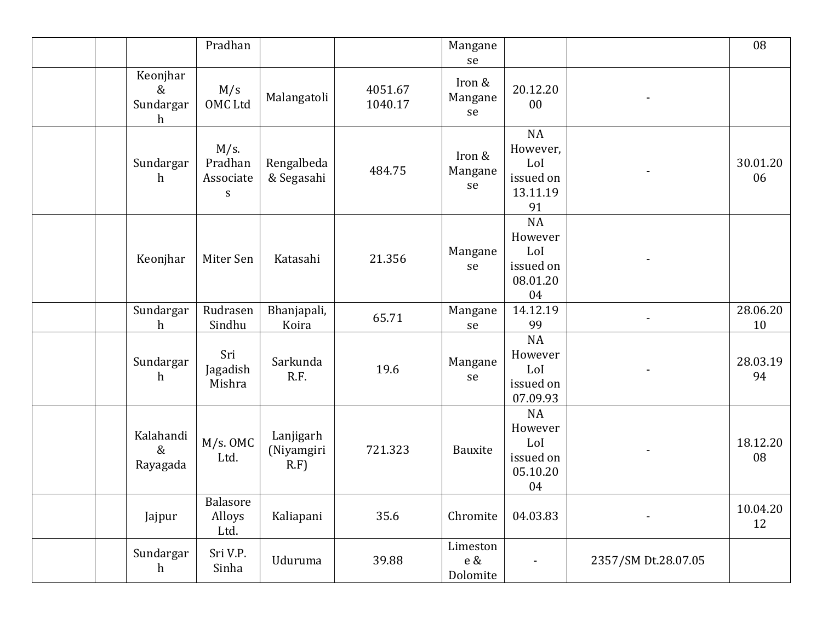|                                               | Pradhan                                       |                                    |                    | Mangane<br>se               |                                                            |                     | 08             |
|-----------------------------------------------|-----------------------------------------------|------------------------------------|--------------------|-----------------------------|------------------------------------------------------------|---------------------|----------------|
| Keonjhar<br>$\&$<br>Sundargar<br>$\mathbf{h}$ | M/s<br>OMC Ltd                                | Malangatoli                        | 4051.67<br>1040.17 | Iron &<br>Mangane<br>se     | 20.12.20<br>00                                             |                     |                |
| Sundargar<br>$\mathbf h$                      | M/s.<br>Pradhan<br>Associate<br>${\mathbf S}$ | Rengalbeda<br>& Segasahi           | 484.75             | Iron &<br>Mangane<br>se     | NA<br>However,<br>LoI<br>issued on<br>13.11.19<br>91       |                     | 30.01.20<br>06 |
| Keonjhar                                      | Miter Sen                                     | Katasahi                           | 21.356             | Mangane<br>se               | NA<br>However<br>LoI<br>issued on<br>08.01.20<br>04        |                     |                |
| Sundargar<br>h                                | Rudrasen<br>Sindhu                            | Bhanjapali,<br>Koira               | 65.71              | Mangane<br>se               | 14.12.19<br>99                                             |                     | 28.06.20<br>10 |
| Sundargar<br>$\mathbf h$                      | Sri<br>Jagadish<br>Mishra                     | Sarkunda<br>R.F.                   | 19.6               | Mangane<br>se               | NA<br>However<br>LoI<br>issued on<br>07.09.93              |                     | 28.03.19<br>94 |
| Kalahandi<br>$\&$<br>Rayagada                 | $M/s.$ OMC<br>Ltd.                            | Lanjigarh<br>(Niyamgiri<br>$R.F$ ) | 721.323            | Bauxite                     | <b>NA</b><br>However<br>LoI<br>issued on<br>05.10.20<br>04 |                     | 18.12.20<br>08 |
| Jajpur                                        | Balasore<br>Alloys<br>Ltd.                    | Kaliapani                          | 35.6               | Chromite                    | 04.03.83                                                   |                     | 10.04.20<br>12 |
| Sundargar<br>h                                | Sri V.P.<br>Sinha                             | Uduruma                            | 39.88              | Limeston<br>e &<br>Dolomite |                                                            | 2357/SM Dt.28.07.05 |                |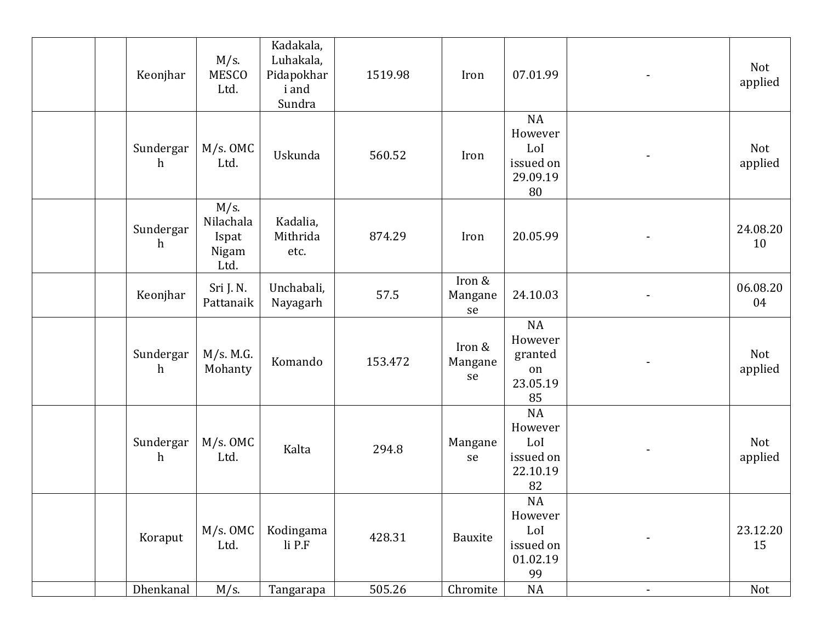| Keonjhar                      | M/s.<br><b>MESCO</b><br>Ltd.                   | Kadakala,<br>Luhakala,<br>Pidapokhar<br><i>i</i> and<br>Sundra | 1519.98 | Iron                    | 07.01.99                                                   |                | Not<br>applied |
|-------------------------------|------------------------------------------------|----------------------------------------------------------------|---------|-------------------------|------------------------------------------------------------|----------------|----------------|
| Sundergar<br>h                | M/s. OMC<br>Ltd.                               | Uskunda                                                        | 560.52  | Iron                    | <b>NA</b><br>However<br>LoI<br>issued on<br>29.09.19<br>80 |                | Not<br>applied |
| Sundergar<br>h                | $M/s$ .<br>Nilachala<br>Ispat<br>Nigam<br>Ltd. | Kadalia,<br>Mithrida<br>etc.                                   | 874.29  | Iron                    | 20.05.99                                                   |                | 24.08.20<br>10 |
| Keonjhar                      | Sri J. N.<br>Pattanaik                         | Unchabali,<br>Nayagarh                                         | 57.5    | Iron &<br>Mangane<br>se | 24.10.03                                                   |                | 06.08.20<br>04 |
| Sundergar<br>$\mathbf h$      | M/s. M.G.<br>Mohanty                           | Komando                                                        | 153.472 | Iron &<br>Mangane<br>se | NA<br>However<br>granted<br>on<br>23.05.19<br>85           |                | Not<br>applied |
| Sundergar<br>$\boldsymbol{h}$ | M/s. OMC<br>Ltd.                               | Kalta                                                          | 294.8   | Mangane<br>se           | <b>NA</b><br>However<br>LoI<br>issued on<br>22.10.19<br>82 |                | Not<br>applied |
| Koraput                       | M/s. OMC<br>Ltd.                               | Kodingama<br>$li$ P.F                                          | 428.31  | Bauxite                 | $\rm NA$<br>However<br>LoI<br>issued on<br>01.02.19<br>99  |                | 23.12.20<br>15 |
| Dhenkanal                     | $M/s$ .                                        | Tangarapa                                                      | 505.26  | Chromite                | $\rm NA$                                                   | $\blacksquare$ | Not            |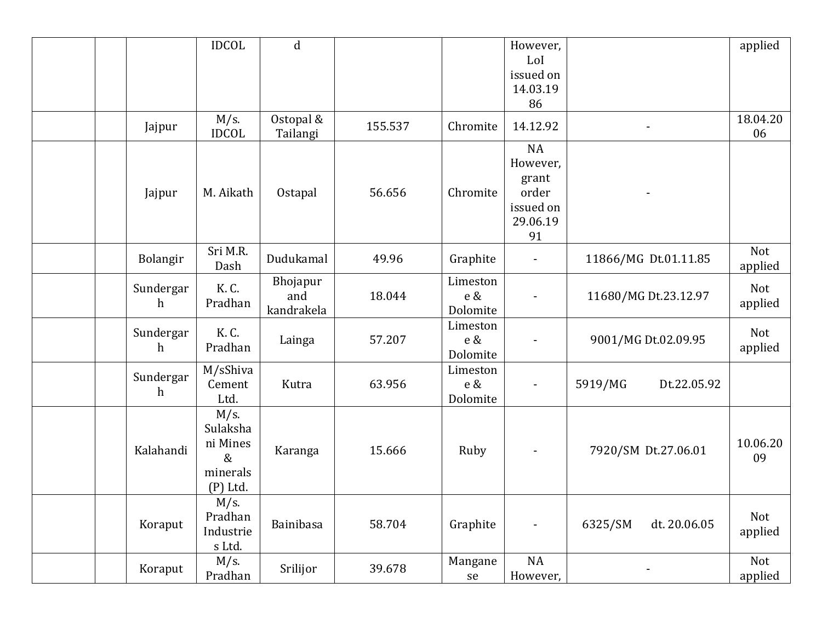|              | <b>IDCOL</b>            | $\mathbf d$           |         |            | However,<br>LoI       |                         | applied        |
|--------------|-------------------------|-----------------------|---------|------------|-----------------------|-------------------------|----------------|
|              |                         |                       |         |            | issued on             |                         |                |
|              |                         |                       |         |            | 14.03.19              |                         |                |
|              |                         |                       |         |            | 86                    |                         |                |
| Jajpur       | $M/s$ .<br><b>IDCOL</b> | Ostopal &<br>Tailangi | 155.537 | Chromite   | 14.12.92              |                         | 18.04.20<br>06 |
|              |                         |                       |         |            | NA                    |                         |                |
|              |                         |                       |         |            | However,              |                         |                |
|              |                         |                       |         |            | grant                 |                         |                |
| Jajpur       | M. Aikath               | Ostapal               | 56.656  | Chromite   | order                 |                         |                |
|              |                         |                       |         |            | issued on<br>29.06.19 |                         |                |
|              |                         |                       |         |            | 91                    |                         |                |
|              | Sri M.R.                |                       |         |            |                       |                         | Not            |
| Bolangir     | Dash                    | Dudukamal             | 49.96   | Graphite   |                       | 11866/MG Dt.01.11.85    | applied        |
|              |                         | Bhojapur              |         | Limeston   |                       |                         |                |
| Sundergar    | K. C.                   | and                   | 18.044  | $e\,\&$    |                       | 11680/MG Dt.23.12.97    | Not            |
| $\mathbf{h}$ | Pradhan                 | kandrakela            |         | Dolomite   |                       |                         | applied        |
| Sundergar    | K. C.                   |                       |         | Limeston   |                       |                         | Not            |
| $\mathbf{h}$ | Pradhan                 | Lainga                | 57.207  | e &        |                       | 9001/MG Dt.02.09.95     | applied        |
|              |                         |                       |         | Dolomite   |                       |                         |                |
| Sundergar    | M/sShiva                |                       |         | Limeston   |                       |                         |                |
| $\mathbf{h}$ | Cement                  | Kutra                 | 63.956  | $e\,\&$    |                       | 5919/MG<br>Dt.22.05.92  |                |
|              | Ltd.                    |                       |         | Dolomite   |                       |                         |                |
|              | $M/s$ .<br>Sulaksha     |                       |         |            |                       |                         |                |
|              | ni Mines                |                       |         |            |                       |                         | 10.06.20       |
| Kalahandi    | &                       | Karanga               | 15.666  | Ruby       |                       | 7920/SM Dt.27.06.01     | 09             |
|              | minerals                |                       |         |            |                       |                         |                |
|              | (P) Ltd.                |                       |         |            |                       |                         |                |
|              | $M/s$ .                 |                       |         |            |                       |                         |                |
|              | Pradhan                 |                       | 58.704  |            |                       | dt. 20.06.05<br>6325/SM | Not            |
| Koraput      | Industrie               | Bainibasa             |         | Graphite   | $\blacksquare$        |                         | applied        |
|              | s Ltd.                  |                       |         |            |                       |                         |                |
| Koraput      | $M/s$ .                 | Srilijor              | 39.678  | Mangane    | NA                    |                         | Not            |
|              | Pradhan                 |                       |         | ${\sf se}$ | However,              |                         | applied        |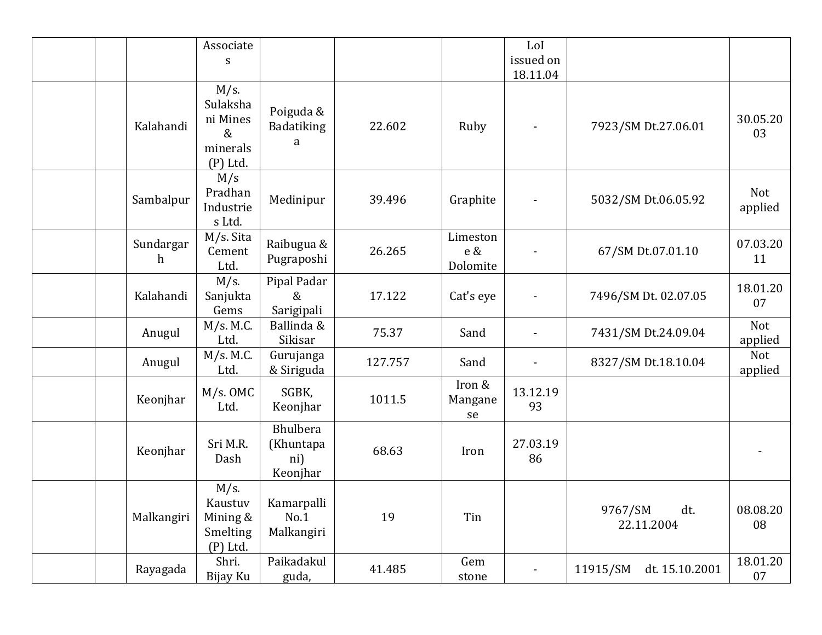|                           | Associate<br>S                                                    |                                                 |         |                                 | LoI<br>issued on<br>18.11.04 |                              |                |
|---------------------------|-------------------------------------------------------------------|-------------------------------------------------|---------|---------------------------------|------------------------------|------------------------------|----------------|
| Kalahandi                 | $M/s$ .<br>Sulaksha<br>ni Mines<br>$\&$<br>minerals<br>$(P)$ Ltd. | Poiguda &<br>Badatiking<br>a                    | 22.602  | Ruby                            |                              | 7923/SM Dt.27.06.01          | 30.05.20<br>03 |
| Sambalpur                 | M/s<br>Pradhan<br>Industrie<br>s Ltd.                             | Medinipur                                       | 39.496  | Graphite                        |                              | 5032/SM Dt.06.05.92          | Not<br>applied |
| Sundargar<br>$\mathbf{h}$ | M/s. Sita<br>Cement<br>Ltd.                                       | Raibugua &<br>Pugraposhi                        | 26.265  | Limeston<br>$e\,\&$<br>Dolomite |                              | 67/SM Dt.07.01.10            | 07.03.20<br>11 |
| Kalahandi                 | $M/s$ .<br>Sanjukta<br>Gems                                       | Pipal Padar<br>$\&$<br>Sarigipali               | 17.122  | Cat's eye                       |                              | 7496/SM Dt. 02.07.05         | 18.01.20<br>07 |
| Anugul                    | M/s. M.C.<br>Ltd.                                                 | Ballinda &<br>Sikisar                           | 75.37   | Sand                            |                              | 7431/SM Dt.24.09.04          | Not<br>applied |
| Anugul                    | M/s. M.C.<br>Ltd.                                                 | Gurujanga<br>& Siriguda                         | 127.757 | Sand                            |                              | 8327/SM Dt.18.10.04          | Not<br>applied |
| Keonjhar                  | M/s. OMC<br>Ltd.                                                  | SGBK,<br>Keonjhar                               | 1011.5  | Iron &<br>Mangane<br>se         | 13.12.19<br>93               |                              |                |
| Keonjhar                  | Sri M.R.<br>Dash                                                  | <b>Bhulbera</b><br>(Khuntapa<br>ni)<br>Keonjhar | 68.63   | Iron                            | 27.03.19<br>86               |                              |                |
| Malkangiri                | $M/s$ .<br>Kaustuv<br>Mining &<br>Smelting<br>$(P)$ Ltd.          | Kamarpalli<br>No.1<br>Malkangiri                | 19      | Tin                             |                              | dt.<br>9767/SM<br>22.11.2004 | 08.08.20<br>08 |
| Rayagada                  | Shri.<br>Bijay Ku                                                 | Paikadakul<br>guda,                             | 41.485  | Gem<br>stone                    |                              | 11915/SM<br>dt. 15.10.2001   | 18.01.20<br>07 |